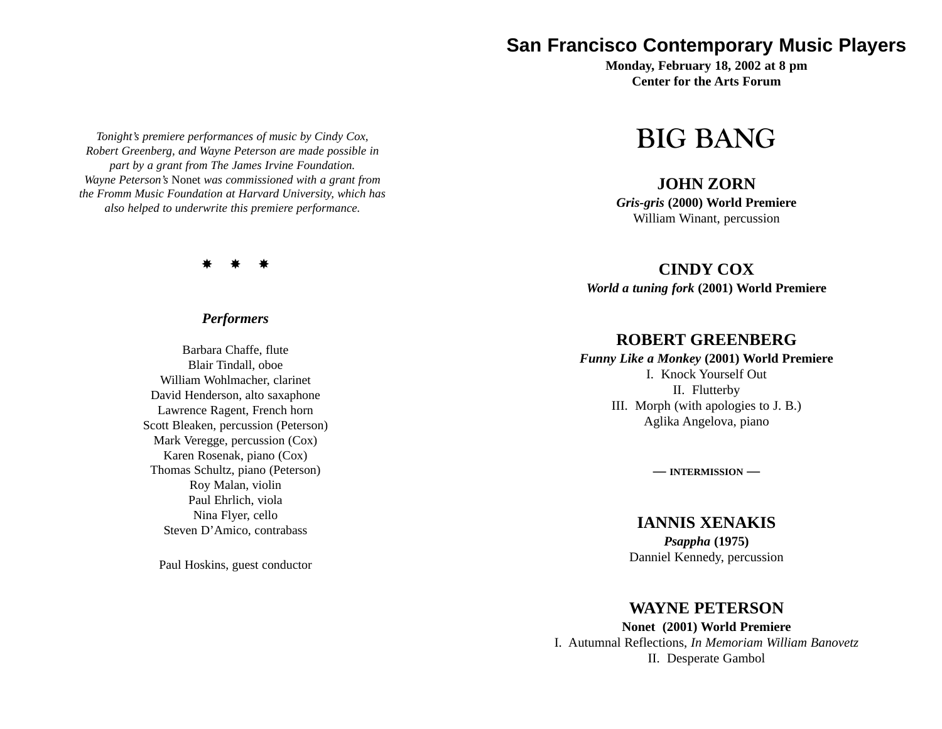*Tonight's premiere performances of music by Cindy Cox, Robert Greenberg, and Wayne Peterson are made possible in part by a grant from The James Irvine Foundation. Wayne Peterson's* Nonet *was commissioned with a grant from the Fromm Music Foundation at Harvard University, which has also helped to underwrite this premiere performance.*

\* \* \*

#### *Performers*

Barbara Chaffe, flute Blair Tindall, oboe William Wohlmacher, clarinet David Henderson, alto saxaphone Lawrence Ragent, French horn Scott Bleaken, percussion (Peterson) Mark Veregge, percussion (Cox) Karen Rosenak, piano (Cox) Thomas Schultz, piano (Peterson) Roy Malan, violin Paul Ehrlich, viola Nina Flyer, cello Steven D'Amico, contrabass

Paul Hoskins, guest conductor

# **San Francisco Contemporary Music Players**

**Monday, February 18, 2002 at 8 pm Center for the Arts Forum**

# **BIG BANG**

## **JOHN ZORN**

*Gris-gris* **(2000) World Premiere** William Winant, percussion

#### **CINDY COX**

*World a tuning fork* **(2001) World Premiere**

## **ROBERT GREENBERG**

#### *Funny Like a Monkey* **(2001) World Premiere**

I. Knock Yourself Out II. Flutterby III. Morph (with apologies to J. B.) Aglika Angelova, piano

**— INTERMISSION —**

## **IANNIS XENAKIS**

*Psappha* **(1975)** Danniel Kennedy, percussion

#### **WAYNE PETERSON**

**Nonet (2001) World Premiere** I. Autumnal Reflections, *In Memoriam William Banovetz* II. Desperate Gambol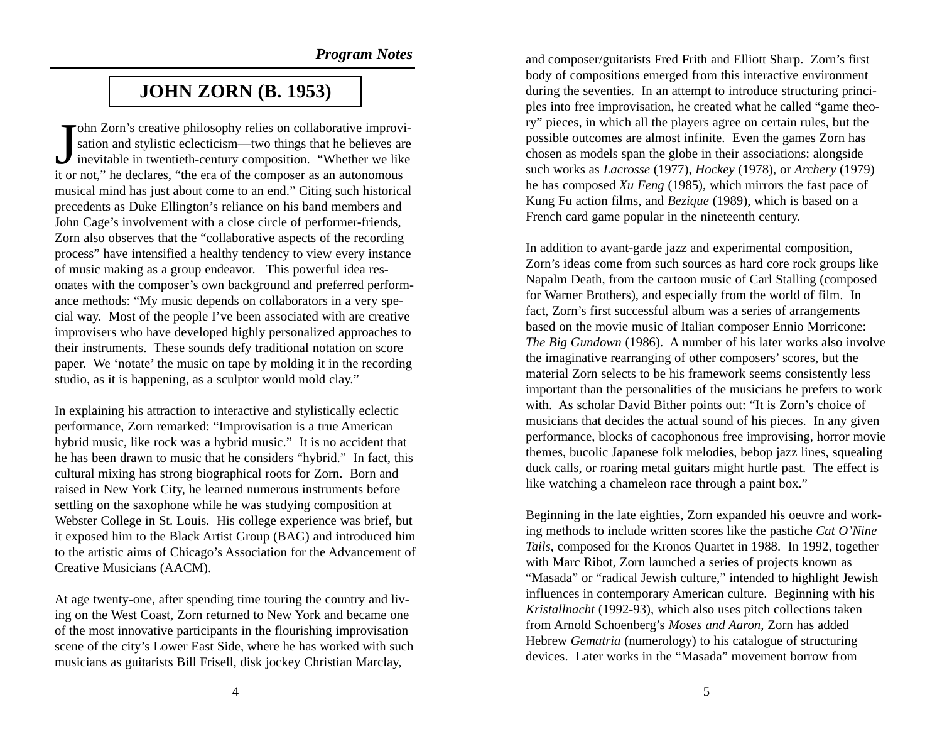# **JOHN ZORN (B. 1953)**

John Zorn's creative philosophy relies on collaborative improvision and stylistic eclecticism—two things that he believes are inevitable in twentieth-century composition. "Whether we like it or not," he declares, "the era of the composer as an autonomous musical mind has just about come to an end." Citing such historical precedents as Duke Ellington's reliance on his band members and John Cage's involvement with a close circle of performer-friends, Zorn also observes that the "collaborative aspects of the recording process" have intensified a healthy tendency to view every instance of music making as a group endeavor. This powerful idea resonates with the composer's own background and preferred performance methods: "My music depends on collaborators in a very special way. Most of the people I've been associated with are creative improvisers who have developed highly personalized approaches to their instruments. These sounds defy traditional notation on score paper. We 'notate' the music on tape by molding it in the recording studio, as it is happening, as a sculptor would mold clay."

In explaining his attraction to interactive and stylistically eclectic performance, Zorn remarked: "Improvisation is a true American hybrid music, like rock was a hybrid music." It is no accident that he has been drawn to music that he considers "hybrid." In fact, this cultural mixing has strong biographical roots for Zorn. Born and raised in New York City, he learned numerous instruments before settling on the saxophone while he was studying composition at Webster College in St. Louis. His college experience was brief, but it exposed him to the Black Artist Group (BAG) and introduced him to the artistic aims of Chicago's Association for the Advancement of Creative Musicians (AACM).

At age twenty-one, after spending time touring the country and living on the West Coast, Zorn returned to New York and became one of the most innovative participants in the flourishing improvisation scene of the city's Lower East Side, where he has worked with such musicians as guitarists Bill Frisell, disk jockey Christian Marclay,

and composer/guitarists Fred Frith and Elliott Sharp. Zorn's first body of compositions emerged from this interactive environment during the seventies. In an attempt to introduce structuring principles into free improvisation, he created what he called "game theory" pieces, in which all the players agree on certain rules, but the possible outcomes are almost infinite. Even the games Zorn has chosen as models span the globe in their associations: alongside such works as *Lacrosse* (1977), *Hockey* (1978), or *Archery* (1979) he has composed *Xu Feng* (1985), which mirrors the fast pace of Kung Fu action films, and *Bezique* (1989), which is based on a French card game popular in the nineteenth century.

In addition to avant-garde jazz and experimental composition, Zorn's ideas come from such sources as hard core rock groups like Napalm Death, from the cartoon music of Carl Stalling (composed for Warner Brothers), and especially from the world of film. In fact, Zorn's first successful album was a series of arrangements based on the movie music of Italian composer Ennio Morricone: *The Big Gundown* (1986). A number of his later works also involve the imaginative rearranging of other composers' scores, but the material Zorn selects to be his framework seems consistently less important than the personalities of the musicians he prefers to work with. As scholar David Bither points out: "It is Zorn's choice of musicians that decides the actual sound of his pieces. In any given performance, blocks of cacophonous free improvising, horror movie themes, bucolic Japanese folk melodies, bebop jazz lines, squealing duck calls, or roaring metal guitars might hurtle past. The effect is like watching a chameleon race through a paint box."

Beginning in the late eighties, Zorn expanded his oeuvre and working methods to include written scores like the pastiche *Cat O'Nine Tails*, composed for the Kronos Quartet in 1988. In 1992, together with Marc Ribot, Zorn launched a series of projects known as "Masada" or "radical Jewish culture," intended to highlight Jewish influences in contemporary American culture. Beginning with his *Kristallnacht* (1992-93), which also uses pitch collections taken from Arnold Schoenberg's *Moses and Aaron*, Zorn has added Hebrew *Gematria* (numerology) to his catalogue of structuring devices. Later works in the "Masada" movement borrow from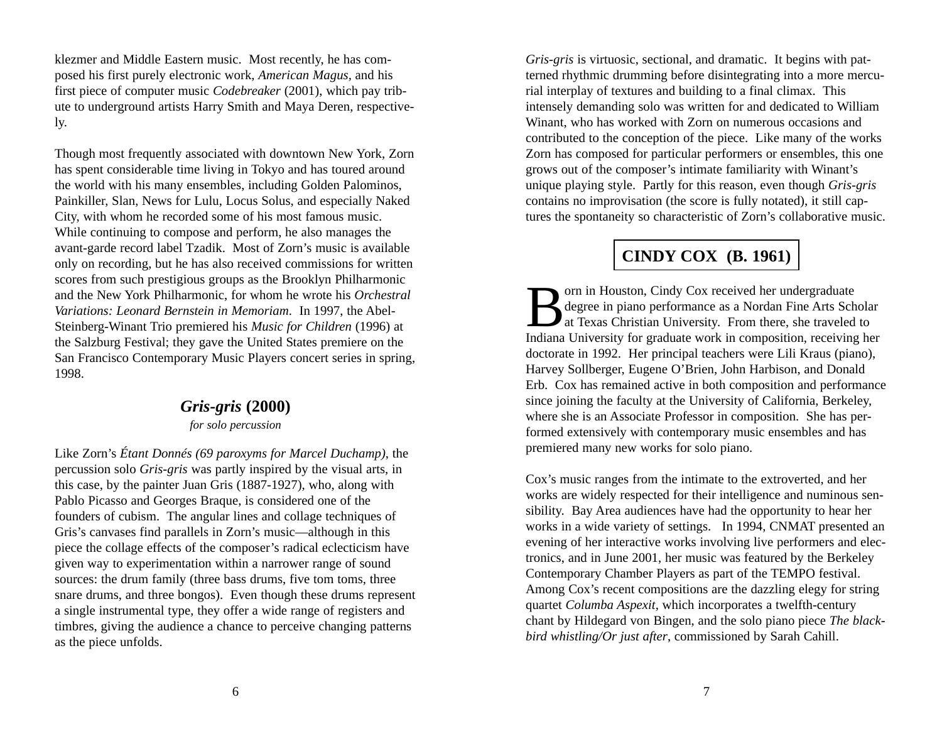klezmer and Middle Eastern music. Most recently, he has composed his first purely electronic work, *American Magus,* and his first piece of computer music *Codebreaker* (2001), which pay tribute to underground artists Harry Smith and Maya Deren, respectively.

Though most frequently associated with downtown New York, Zorn has spent considerable time living in Tokyo and has toured around the world with his many ensembles, including Golden Palominos, Painkiller, Slan, News for Lulu, Locus Solus, and especially Naked City, with whom he recorded some of his most famous music. While continuing to compose and perform, he also manages the avant-garde record label Tzadik. Most of Zorn's music is available only on recording, but he has also received commissions for written scores from such prestigious groups as the Brooklyn Philharmonic and the New York Philharmonic, for whom he wrote his *Orchestral Variations: Leonard Bernstein in Memoriam*. In 1997, the Abel-Steinberg-Winant Trio premiered his *Music for Children* (1996) at the Salzburg Festival; they gave the United States premiere on the San Francisco Contemporary Music Players concert series in spring, 1998.

# *Gris-gris* **(2000)**

*for solo percussion*

Like Zorn's *Étant Donnés (69 paroxyms for Marcel Duchamp)*, the percussion solo *Gris-gris* was partly inspired by the visual arts, in this case, by the painter Juan Gris (1887-1927), who, along with Pablo Picasso and Georges Braque, is considered one of the founders of cubism. The angular lines and collage techniques of Gris's canvases find parallels in Zorn's music—although in this piece the collage effects of the composer's radical eclecticism have given way to experimentation within a narrower range of sound sources: the drum family (three bass drums, five tom toms, three snare drums, and three bongos). Even though these drums represent a single instrumental type, they offer a wide range of registers and timbres, giving the audience a chance to perceive changing patterns as the piece unfolds.

*Gris-gris* is virtuosic, sectional, and dramatic. It begins with patterned rhythmic drumming before disintegrating into a more mercurial interplay of textures and building to a final climax. This intensely demanding solo was written for and dedicated to William Winant, who has worked with Zorn on numerous occasions and contributed to the conception of the piece. Like many of the works Zorn has composed for particular performers or ensembles, this one grows out of the composer's intimate familiarity with Winant's unique playing style. Partly for this reason, even though *Gris-gris* contains no improvisation (the score is fully notated), it still captures the spontaneity so characteristic of Zorn's collaborative music.

# **CINDY COX (B. 1961)**

orn in Houston, Cindy Cox received her undergraduate<br>degree in piano performance as a Nordan Fine Arts Scholar<br>at Texas Christian University. From there, she traveled to Indiana University for graduate work in composition, receiving her doctorate in 1992. Her principal teachers were Lili Kraus (piano), Harvey Sollberger, Eugene O'Brien, John Harbison, and Donald Erb. Cox has remained active in both composition and performance since joining the faculty at the University of California, Berkeley, where she is an Associate Professor in composition. She has performed extensively with contemporary music ensembles and has premiered many new works for solo piano.

Cox's music ranges from the intimate to the extroverted, and her works are widely respected for their intelligence and numinous sensibility. Bay Area audiences have had the opportunity to hear her works in a wide variety of settings. In 1994, CNMAT presented an evening of her interactive works involving live performers and electronics, and in June 2001, her music was featured by the Berkeley Contemporary Chamber Players as part of the TEMPO festival. Among Cox's recent compositions are the dazzling elegy for string quartet *Columba Aspexit*, which incorporates a twelfth-century chant by Hildegard von Bingen, and the solo piano piece *The blackbird whistling/Or just after*, commissioned by Sarah Cahill.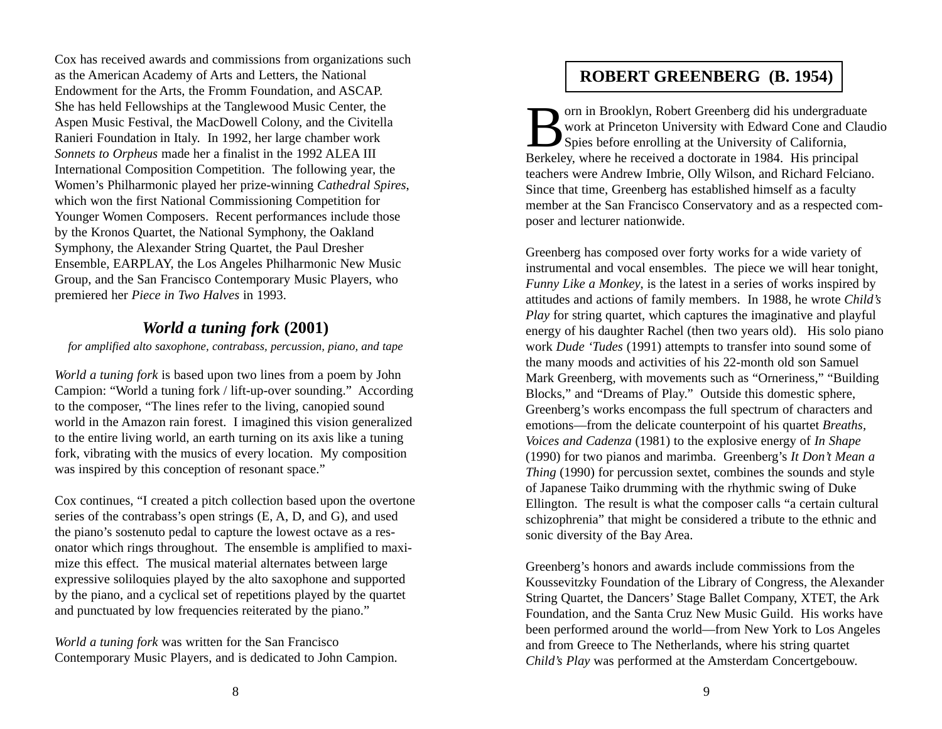Cox has received awards and commissions from organizations such as the American Academy of Arts and Letters, the National Endowment for the Arts, the Fromm Foundation, and ASCAP. She has held Fellowships at the Tanglewood Music Center, the Aspen Music Festival, the MacDowell Colony, and the Civitella Ranieri Foundation in Italy. In 1992, her large chamber work *Sonnets to Orpheus* made her a finalist in the 1992 ALEA III International Composition Competition. The following year, the Women's Philharmonic played her prize-winning *Cathedral Spires*, which won the first National Commissioning Competition for Younger Women Composers. Recent performances include those by the Kronos Quartet, the National Symphony, the Oakland Symphony, the Alexander String Quartet, the Paul Dresher Ensemble, EARPLAY, the Los Angeles Philharmonic New Music Group, and the San Francisco Contemporary Music Players, who premiered her *Piece in Two Halves* in 1993.

## *World a tuning fork* **(2001)**

*for amplified alto saxophone, contrabass, percussion, piano, and tape*

*World a tuning fork* is based upon two lines from a poem by John Campion: "World a tuning fork / lift-up-over sounding." According to the composer, "The lines refer to the living, canopied sound world in the Amazon rain forest. I imagined this vision generalized to the entire living world, an earth turning on its axis like a tuning fork, vibrating with the musics of every location. My composition was inspired by this conception of resonant space."

Cox continues, "I created a pitch collection based upon the overtone series of the contrabass's open strings (E, A, D, and G), and used the piano's sostenuto pedal to capture the lowest octave as a resonator which rings throughout. The ensemble is amplified to maximize this effect. The musical material alternates between large expressive soliloquies played by the alto saxophone and supported by the piano, and a cyclical set of repetitions played by the quartet and punctuated by low frequencies reiterated by the piano."

*World a tuning fork* was written for the San Francisco Contemporary Music Players, and is dedicated to John Campion.

# **ROBERT GREENBERG (B. 1954)**

Born in Brooklyn, Robert Greenberg did his undergraduate work at Princeton University with Edward Cone and Claudio Spies before enrolling at the University of California, Berkeley, where he received a doctorate in 1984. His principal teachers were Andrew Imbrie, Olly Wilson, and Richard Felciano. Since that time, Greenberg has established himself as a faculty member at the San Francisco Conservatory and as a respected composer and lecturer nationwide.

Greenberg has composed over forty works for a wide variety of instrumental and vocal ensembles. The piece we will hear tonight, *Funny Like a Monkey*, is the latest in a series of works inspired by attitudes and actions of family members. In 1988, he wrote *Child's Play* for string quartet, which captures the imaginative and playful energy of his daughter Rachel (then two years old). His solo piano work *Dude 'Tudes* (1991) attempts to transfer into sound some of the many moods and activities of his 22-month old son Samuel Mark Greenberg, with movements such as "Orneriness," "Building Blocks," and "Dreams of Play." Outside this domestic sphere, Greenberg's works encompass the full spectrum of characters and emotions—from the delicate counterpoint of his quartet *Breaths, Voices and Cadenza* (1981) to the explosive energy of *In Shape* (1990) for two pianos and marimba. Greenberg's *It Don't Mean a Thing* (1990) for percussion sextet, combines the sounds and style of Japanese Taiko drumming with the rhythmic swing of Duke Ellington. The result is what the composer calls "a certain cultural schizophrenia" that might be considered a tribute to the ethnic and sonic diversity of the Bay Area.

Greenberg's honors and awards include commissions from the Koussevitzky Foundation of the Library of Congress, the Alexander String Quartet, the Dancers' Stage Ballet Company, XTET, the Ark Foundation, and the Santa Cruz New Music Guild. His works have been performed around the world—from New York to Los Angeles and from Greece to The Netherlands, where his string quartet *Child's Play* was performed at the Amsterdam Concertgebouw.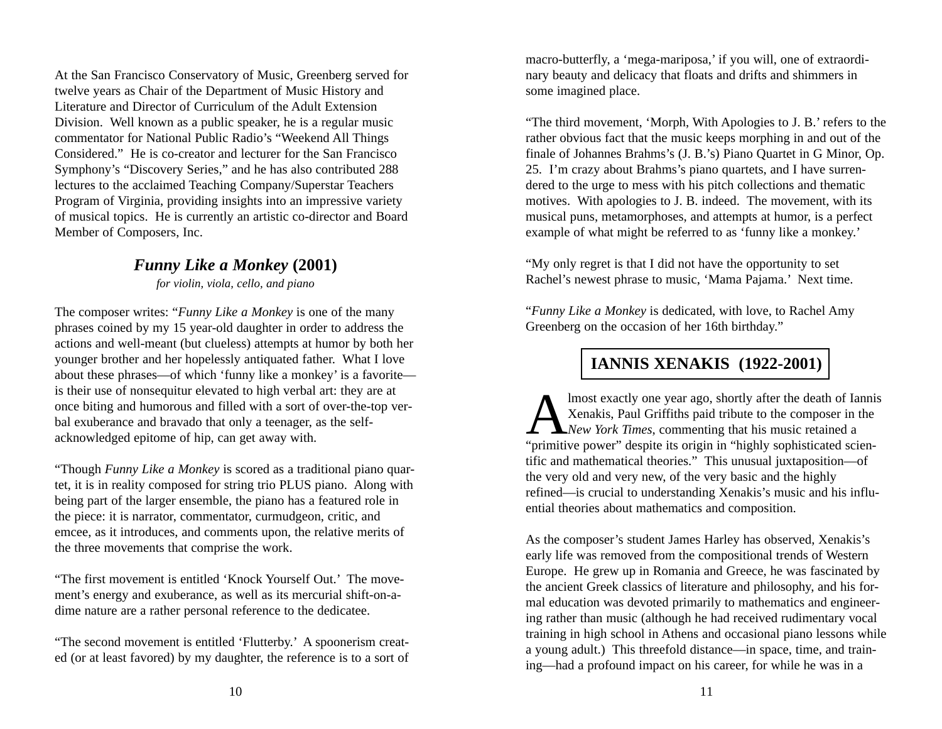At the San Francisco Conservatory of Music, Greenberg served for twelve years as Chair of the Department of Music History and Literature and Director of Curriculum of the Adult Extension Division. Well known as a public speaker, he is a regular music commentator for National Public Radio's "Weekend All Things Considered." He is co-creator and lecturer for the San Francisco Symphony's "Discovery Series," and he has also contributed 288 lectures to the acclaimed Teaching Company/Superstar Teachers Program of Virginia, providing insights into an impressive variety of musical topics. He is currently an artistic co-director and Board Member of Composers, Inc.

## *Funny Like a Monkey* **(2001)**

*for violin, viola, cello, and piano*

The composer writes: "*Funny Like a Monkey* is one of the many phrases coined by my 15 year-old daughter in order to address the actions and well-meant (but clueless) attempts at humor by both her younger brother and her hopelessly antiquated father. What I love about these phrases—of which 'funny like a monkey' is a favorite is their use of nonsequitur elevated to high verbal art: they are at once biting and humorous and filled with a sort of over-the-top verbal exuberance and bravado that only a teenager, as the selfacknowledged epitome of hip, can get away with.

"Though *Funny Like a Monkey* is scored as a traditional piano quartet, it is in reality composed for string trio PLUS piano. Along with being part of the larger ensemble, the piano has a featured role in the piece: it is narrator, commentator, curmudgeon, critic, and emcee, as it introduces, and comments upon, the relative merits of the three movements that comprise the work.

"The first movement is entitled 'Knock Yourself Out.' The movement's energy and exuberance, as well as its mercurial shift-on-adime nature are a rather personal reference to the dedicatee.

"The second movement is entitled 'Flutterby.' A spoonerism created (or at least favored) by my daughter, the reference is to a sort of macro-butterfly, a 'mega-mariposa,' if you will, one of extraordinary beauty and delicacy that floats and drifts and shimmers in some imagined place.

"The third movement, 'Morph, With Apologies to J. B.' refers to the rather obvious fact that the music keeps morphing in and out of the finale of Johannes Brahms's (J. B.'s) Piano Quartet in G Minor, Op. 25. I'm crazy about Brahms's piano quartets, and I have surrendered to the urge to mess with his pitch collections and thematic motives. With apologies to J. B. indeed. The movement, with its musical puns, metamorphoses, and attempts at humor, is a perfect example of what might be referred to as 'funny like a monkey.'

"My only regret is that I did not have the opportunity to set Rachel's newest phrase to music, 'Mama Pajama.' Next time.

"*Funny Like a Monkey* is dedicated, with love, to Rachel Amy Greenberg on the occasion of her 16th birthday."

# **IANNIS XENAKIS (1922-2001)**

Almost exactly one year ago, shortly after the death of Iannis Xenakis, Paul Griffiths paid tribute to the composer in the *New York Times*, commenting that his music retained a "primitive power" despite its origin in "highly sophisticated scientific and mathematical theories." This unusual juxtaposition—of the very old and very new, of the very basic and the highly refined—is crucial to understanding Xenakis's music and his influential theories about mathematics and composition.

As the composer's student James Harley has observed, Xenakis's early life was removed from the compositional trends of Western Europe. He grew up in Romania and Greece, he was fascinated by the ancient Greek classics of literature and philosophy, and his formal education was devoted primarily to mathematics and engineering rather than music (although he had received rudimentary vocal training in high school in Athens and occasional piano lessons while a young adult.) This threefold distance—in space, time, and training—had a profound impact on his career, for while he was in a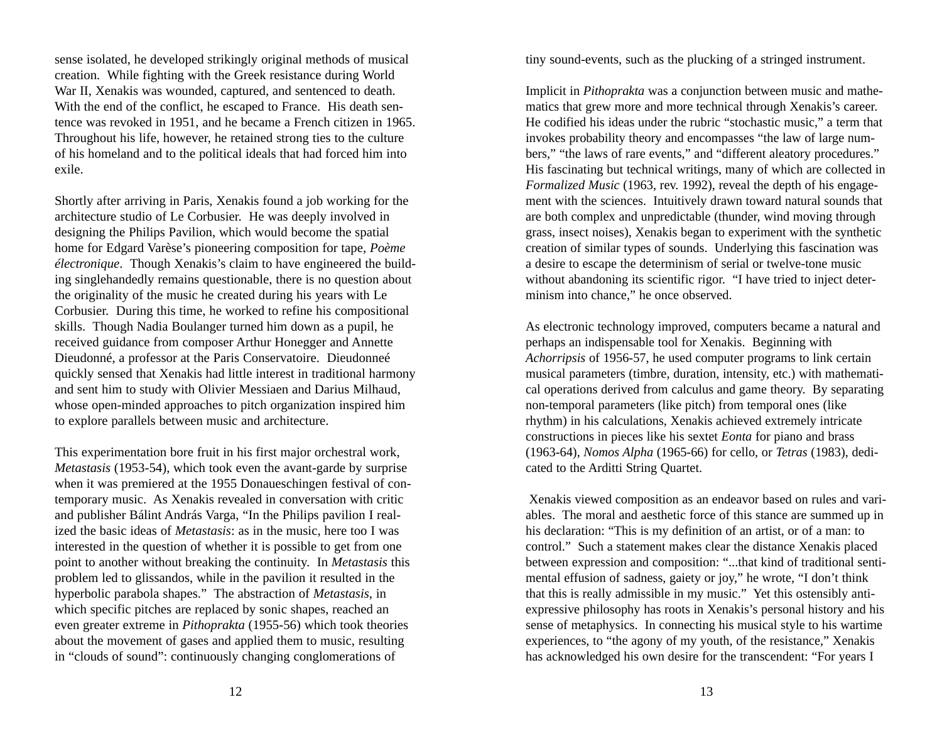sense isolated, he developed strikingly original methods of musical creation. While fighting with the Greek resistance during World War II, Xenakis was wounded, captured, and sentenced to death. With the end of the conflict, he escaped to France. His death sentence was revoked in 1951, and he became a French citizen in 1965. Throughout his life, however, he retained strong ties to the culture of his homeland and to the political ideals that had forced him into exile.

Shortly after arriving in Paris, Xenakis found a job working for the architecture studio of Le Corbusier. He was deeply involved in designing the Philips Pavilion, which would become the spatial home for Edgard Varèse's pioneering composition for tape, *Poème électronique*. Though Xenakis's claim to have engineered the building singlehandedly remains questionable, there is no question about the originality of the music he created during his years with Le Corbusier. During this time, he worked to refine his compositional skills. Though Nadia Boulanger turned him down as a pupil, he received guidance from composer Arthur Honegger and Annette Dieudonné, a professor at the Paris Conservatoire. Dieudonneé quickly sensed that Xenakis had little interest in traditional harmony and sent him to study with Olivier Messiaen and Darius Milhaud, whose open-minded approaches to pitch organization inspired him to explore parallels between music and architecture.

This experimentation bore fruit in his first major orchestral work, *Metastasis* (1953-54), which took even the avant-garde by surprise when it was premiered at the 1955 Donaueschingen festival of contemporary music. As Xenakis revealed in conversation with critic and publisher Bálint András Varga, "In the Philips pavilion I realized the basic ideas of *Metastasis*: as in the music, here too I was interested in the question of whether it is possible to get from one point to another without breaking the continuity. In *Metastasis* this problem led to glissandos, while in the pavilion it resulted in the hyperbolic parabola shapes." The abstraction of *Metastasis*, in which specific pitches are replaced by sonic shapes, reached an even greater extreme in *Pithoprakta* (1955-56) which took theories about the movement of gases and applied them to music, resulting in "clouds of sound": continuously changing conglomerations of

tiny sound-events, such as the plucking of a stringed instrument.

Implicit in *Pithoprakta* was a conjunction between music and mathematics that grew more and more technical through Xenakis's career. He codified his ideas under the rubric "stochastic music," a term that invokes probability theory and encompasses "the law of large numbers," "the laws of rare events," and "different aleatory procedures." His fascinating but technical writings, many of which are collected in *Formalized Music* (1963, rev. 1992), reveal the depth of his engagement with the sciences. Intuitively drawn toward natural sounds that are both complex and unpredictable (thunder, wind moving through grass, insect noises), Xenakis began to experiment with the synthetic creation of similar types of sounds. Underlying this fascination was a desire to escape the determinism of serial or twelve-tone music without abandoning its scientific rigor. "I have tried to inject determinism into chance," he once observed.

As electronic technology improved, computers became a natural and perhaps an indispensable tool for Xenakis. Beginning with *Achorripsis* of 1956-57, he used computer programs to link certain musical parameters (timbre, duration, intensity, etc.) with mathematical operations derived from calculus and game theory. By separating non-temporal parameters (like pitch) from temporal ones (like rhythm) in his calculations, Xenakis achieved extremely intricate constructions in pieces like his sextet *Eonta* for piano and brass (1963-64), *Nomos Alpha* (1965-66) for cello, or *Tetras* (1983), dedicated to the Arditti String Quartet.

Xenakis viewed composition as an endeavor based on rules and variables. The moral and aesthetic force of this stance are summed up in his declaration: "This is my definition of an artist, or of a man: to control." Such a statement makes clear the distance Xenakis placed between expression and composition: "...that kind of traditional sentimental effusion of sadness, gaiety or joy," he wrote, "I don't think that this is really admissible in my music." Yet this ostensibly antiexpressive philosophy has roots in Xenakis's personal history and his sense of metaphysics. In connecting his musical style to his wartime experiences, to "the agony of my youth, of the resistance," Xenakis has acknowledged his own desire for the transcendent: "For years I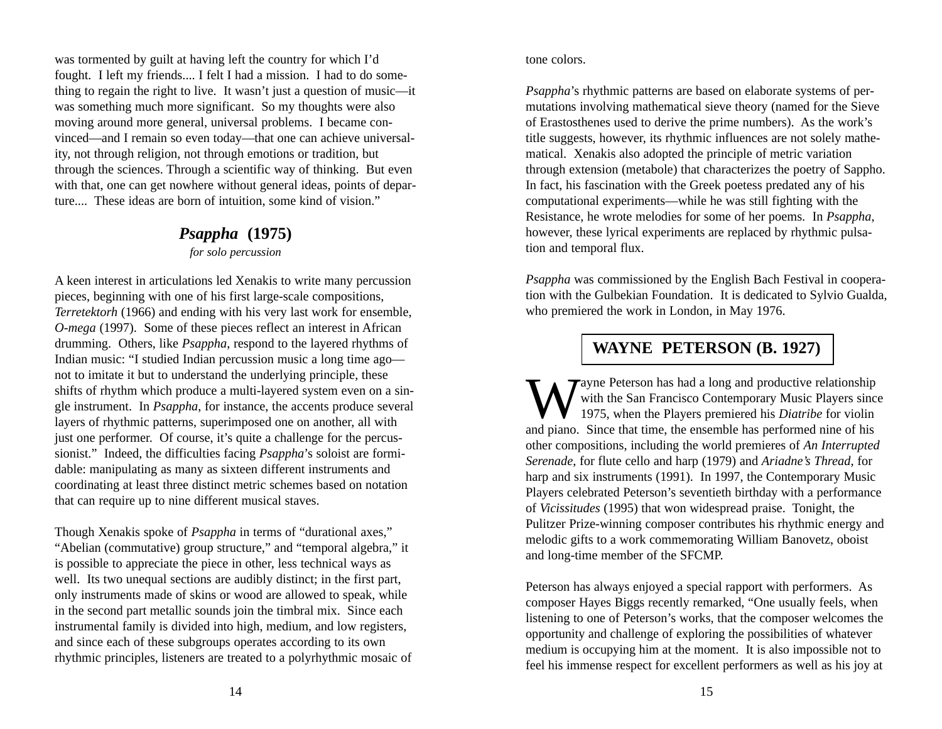was tormented by guilt at having left the country for which I'd fought. I left my friends.... I felt I had a mission. I had to do something to regain the right to live. It wasn't just a question of music—it was something much more significant. So my thoughts were also moving around more general, universal problems. I became convinced—and I remain so even today—that one can achieve universality, not through religion, not through emotions or tradition, but through the sciences. Through a scientific way of thinking. But even with that, one can get nowhere without general ideas, points of departure.... These ideas are born of intuition, some kind of vision."

# *Psappha* **(1975)**

*for solo percussion*

A keen interest in articulations led Xenakis to write many percussion pieces, beginning with one of his first large-scale compositions, *Terretektorh* (1966) and ending with his very last work for ensemble, *O-mega* (1997). Some of these pieces reflect an interest in African drumming. Others, like *Psappha*, respond to the layered rhythms of Indian music: "I studied Indian percussion music a long time ago not to imitate it but to understand the underlying principle, these shifts of rhythm which produce a multi-layered system even on a single instrument. In *Psappha*, for instance, the accents produce several layers of rhythmic patterns, superimposed one on another, all with just one performer. Of course, it's quite a challenge for the percussionist." Indeed, the difficulties facing *Psappha*'s soloist are formidable: manipulating as many as sixteen different instruments and coordinating at least three distinct metric schemes based on notation that can require up to nine different musical staves.

Though Xenakis spoke of *Psappha* in terms of "durational axes," "Abelian (commutative) group structure," and "temporal algebra," it is possible to appreciate the piece in other, less technical ways as well. Its two unequal sections are audibly distinct; in the first part, only instruments made of skins or wood are allowed to speak, while in the second part metallic sounds join the timbral mix. Since each instrumental family is divided into high, medium, and low registers, and since each of these subgroups operates according to its own rhythmic principles, listeners are treated to a polyrhythmic mosaic of

#### tone colors.

*Psappha*'s rhythmic patterns are based on elaborate systems of permutations involving mathematical sieve theory (named for the Sieve of Erastosthenes used to derive the prime numbers). As the work's title suggests, however, its rhythmic influences are not solely mathematical. Xenakis also adopted the principle of metric variation through extension (metabole) that characterizes the poetry of Sappho. In fact, his fascination with the Greek poetess predated any of his computational experiments—while he was still fighting with the Resistance, he wrote melodies for some of her poems. In *Psappha*, however, these lyrical experiments are replaced by rhythmic pulsation and temporal flux.

*Psappha* was commissioned by the English Bach Festival in cooperation with the Gulbekian Foundation. It is dedicated to Sylvio Gualda, who premiered the work in London, in May 1976.

# **WAYNE PETERSON (B. 1927)**

Wayne Peterson has had a long and productive relationship with the San Francisco Contemporary Music Players since 1975, when the Players premiered his *Diatribe* for violin and piano. Since that time, the ensemble has performed nine of his other compositions, including the world premieres of *An Interrupted Serenade*, for flute cello and harp (1979) and *Ariadne's Thread*, for harp and six instruments (1991). In 1997, the Contemporary Music Players celebrated Peterson's seventieth birthday with a performance of *Vicissitudes* (1995) that won widespread praise. Tonight, the Pulitzer Prize-winning composer contributes his rhythmic energy and melodic gifts to a work commemorating William Banovetz, oboist and long-time member of the SFCMP.

Peterson has always enjoyed a special rapport with performers. As composer Hayes Biggs recently remarked, "One usually feels, when listening to one of Peterson's works, that the composer welcomes the opportunity and challenge of exploring the possibilities of whatever medium is occupying him at the moment. It is also impossible not to feel his immense respect for excellent performers as well as his joy at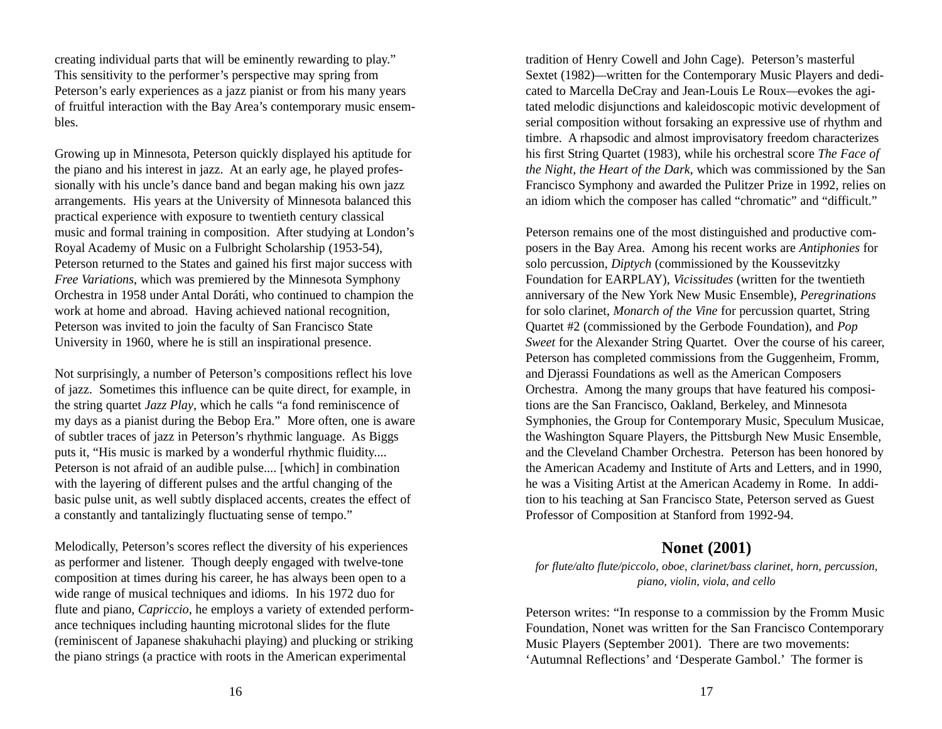creating individual parts that will be eminently rewarding to play." This sensitivity to the performer's perspective may spring from Peterson's early experiences as a jazz pianist or from his many years of fruitful interaction with the Bay Area's contemporary music ensembles.

Growing up in Minnesota, Peterson quickly displayed his aptitude for the piano and his interest in jazz. At an early age, he played professionally with his uncle's dance band and began making his own jazz arrangements. His years at the University of Minnesota balanced this practical experience with exposure to twentieth century classical music and formal training in composition. After studying at London's Royal Academy of Music on a Fulbright Scholarship (1953-54), Peterson returned to the States and gained his first major success with *Free Variations*, which was premiered by the Minnesota Symphony Orchestra in 1958 under Antal Doráti, who continued to champion the work at home and abroad. Having achieved national recognition, Peterson was invited to join the faculty of San Francisco State University in 1960, where he is still an inspirational presence.

Not surprisingly, a number of Peterson's compositions reflect his love of jazz. Sometimes this influence can be quite direct, for example, in the string quartet *Jazz Play*, which he calls "a fond reminiscence of my days as a pianist during the Bebop Era." More often, one is aware of subtler traces of jazz in Peterson's rhythmic language. As Biggs puts it, "His music is marked by a wonderful rhythmic fluidity.... Peterson is not afraid of an audible pulse.... [which] in combination with the layering of different pulses and the artful changing of the basic pulse unit, as well subtly displaced accents, creates the effect of a constantly and tantalizingly fluctuating sense of tempo."

Melodically, Peterson's scores reflect the diversity of his experiences as performer and listener. Though deeply engaged with twelve-tone composition at times during his career, he has always been open to a wide range of musical techniques and idioms. In his 1972 duo for flute and piano, *Capriccio*, he employs a variety of extended performance techniques including haunting microtonal slides for the flute (reminiscent of Japanese shakuhachi playing) and plucking or striking the piano strings (a practice with roots in the American experimental

tradition of Henry Cowell and John Cage). Peterson's masterful Sextet (1982)*—*written for the Contemporary Music Players and dedicated to Marcella DeCray and Jean-Louis Le Roux*—*evokes the agitated melodic disjunctions and kaleidoscopic motivic development of serial composition without forsaking an expressive use of rhythm and timbre. A rhapsodic and almost improvisatory freedom characterizes his first String Quartet (1983), while his orchestral score *The Face of the Night, the Heart of the Dark*, which was commissioned by the San Francisco Symphony and awarded the Pulitzer Prize in 1992, relies on an idiom which the composer has called "chromatic" and "difficult."

Peterson remains one of the most distinguished and productive composers in the Bay Area. Among his recent works are *Antiphonies* for solo percussion, *Diptych* (commissioned by the Koussevitzky Foundation for EARPLAY), *Vicissitudes* (written for the twentieth anniversary of the New York New Music Ensemble), *Peregrinations* for solo clarinet, *Monarch of the Vine* for percussion quartet, String Quartet #2 (commissioned by the Gerbode Foundation), and *Pop Sweet* for the Alexander String Quartet. Over the course of his career, Peterson has completed commissions from the Guggenheim, Fromm, and Djerassi Foundations as well as the American Composers Orchestra. Among the many groups that have featured his compositions are the San Francisco, Oakland, Berkeley, and Minnesota Symphonies, the Group for Contemporary Music, Speculum Musicae, the Washington Square Players, the Pittsburgh New Music Ensemble, and the Cleveland Chamber Orchestra. Peterson has been honored by the American Academy and Institute of Arts and Letters, and in 1990, he was a Visiting Artist at the American Academy in Rome. In addition to his teaching at San Francisco State, Peterson served as Guest Professor of Composition at Stanford from 1992-94.

## **Nonet (2001)**

#### *for flute/alto flute/piccolo, oboe, clarinet/bass clarinet, horn, percussion, piano, violin, viola, and cello*

Peterson writes: "In response to a commission by the Fromm Music Foundation, Nonet was written for the San Francisco Contemporary Music Players (September 2001). There are two movements: 'Autumnal Reflections' and 'Desperate Gambol.' The former is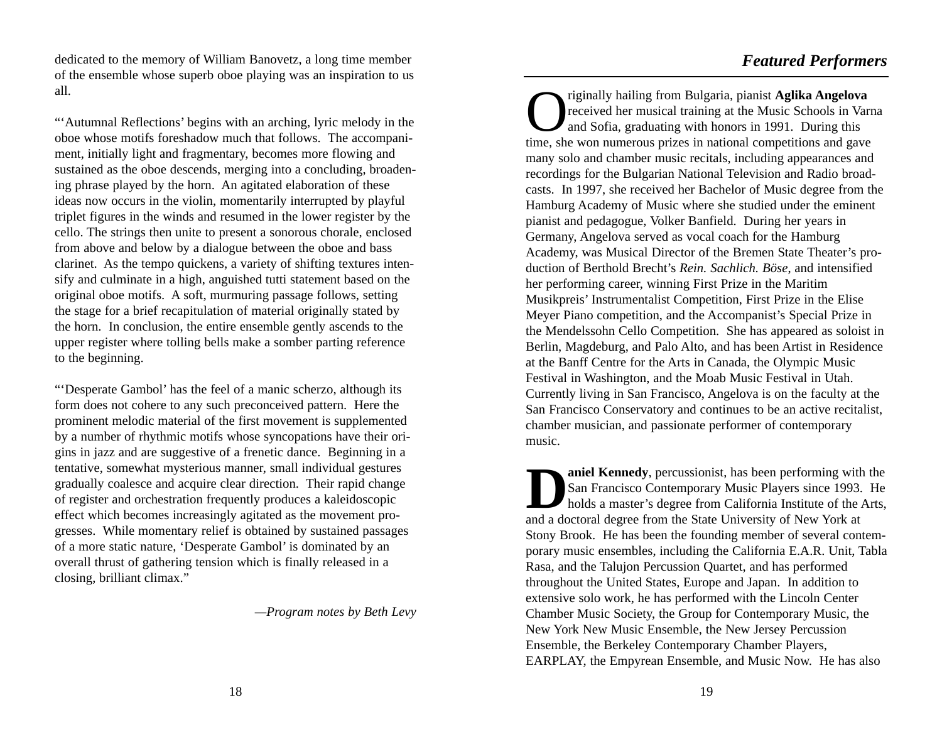dedicated to the memory of William Banovetz, a long time member of the ensemble whose superb oboe playing was an inspiration to us all.

"'Autumnal Reflections' begins with an arching, lyric melody in the oboe whose motifs foreshadow much that follows. The accompaniment, initially light and fragmentary, becomes more flowing and sustained as the oboe descends, merging into a concluding, broadening phrase played by the horn. An agitated elaboration of these ideas now occurs in the violin, momentarily interrupted by playful triplet figures in the winds and resumed in the lower register by the cello. The strings then unite to present a sonorous chorale, enclosed from above and below by a dialogue between the oboe and bass clarinet. As the tempo quickens, a variety of shifting textures intensify and culminate in a high, anguished tutti statement based on the original oboe motifs. A soft, murmuring passage follows, setting the stage for a brief recapitulation of material originally stated by the horn. In conclusion, the entire ensemble gently ascends to the upper register where tolling bells make a somber parting reference to the beginning.

"'Desperate Gambol' has the feel of a manic scherzo, although its form does not cohere to any such preconceived pattern. Here the prominent melodic material of the first movement is supplemented by a number of rhythmic motifs whose syncopations have their origins in jazz and are suggestive of a frenetic dance. Beginning in a tentative, somewhat mysterious manner, small individual gestures gradually coalesce and acquire clear direction. Their rapid change of register and orchestration frequently produces a kaleidoscopic effect which becomes increasingly agitated as the movement progresses. While momentary relief is obtained by sustained passages of a more static nature, 'Desperate Gambol' is dominated by an overall thrust of gathering tension which is finally released in a closing, brilliant climax."

*—Program notes by Beth Levy*

Originally hailing from Bulgaria, pianist **Aglika Angelova** received her musical training at the Music Schools in Varna and Sofia, graduating with honors in 1991. During this time, she won numerous prizes in national competitions and gave many solo and chamber music recitals, including appearances and recordings for the Bulgarian National Television and Radio broadcasts. In 1997, she received her Bachelor of Music degree from the Hamburg Academy of Music where she studied under the eminent pianist and pedagogue, Volker Banfield. During her years in Germany, Angelova served as vocal coach for the Hamburg Academy, was Musical Director of the Bremen State Theater's production of Berthold Brecht's *Rein. Sachlich. Böse*, and intensified her performing career, winning First Prize in the Maritim Musikpreis' Instrumentalist Competition, First Prize in the Elise Meyer Piano competition, and the Accompanist's Special Prize in the Mendelssohn Cello Competition. She has appeared as soloist in Berlin, Magdeburg, and Palo Alto, and has been Artist in Residence at the Banff Centre for the Arts in Canada, the Olympic Music Festival in Washington, and the Moab Music Festival in Utah. Currently living in San Francisco, Angelova is on the faculty at the San Francisco Conservatory and continues to be an active recitalist, chamber musician, and passionate performer of contemporary music.

**Daniel Kennedy**, percussionist, has been performing with the San Francisco Contemporary Music Players since 1993. He holds a master's degree from California Institute of the Arts, and a doctoral degree from the State University of New York at Stony Brook. He has been the founding member of several contemporary music ensembles, including the California E.A.R. Unit, Tabla Rasa, and the Talujon Percussion Quartet, and has performed throughout the United States, Europe and Japan. In addition to extensive solo work, he has performed with the Lincoln Center Chamber Music Society, the Group for Contemporary Music, the New York New Music Ensemble, the New Jersey Percussion Ensemble, the Berkeley Contemporary Chamber Players, EARPLAY, the Empyrean Ensemble, and Music Now. He has also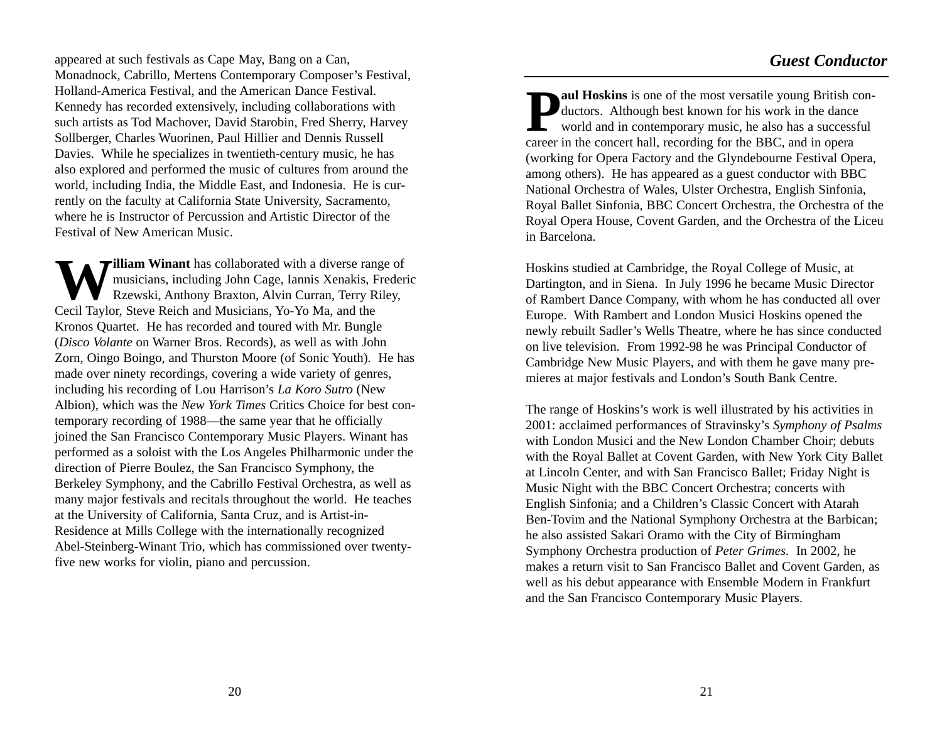appeared at such festivals as Cape May, Bang on a Can, Monadnock, Cabrillo, Mertens Contemporary Composer's Festival, Holland-America Festival, and the American Dance Festival. Kennedy has recorded extensively, including collaborations with such artists as Tod Machover, David Starobin, Fred Sherry, Harvey Sollberger, Charles Wuorinen, Paul Hillier and Dennis Russell Davies. While he specializes in twentieth-century music, he has also explored and performed the music of cultures from around the world, including India, the Middle East, and Indonesia. He is currently on the faculty at California State University, Sacramento, where he is Instructor of Percussion and Artistic Director of the Festival of New American Music.

William Winant has collaborated with a diverse range of musicians, including John Cage, Iannis Xenakis, Frederic Rzewski, Anthony Braxton, Alvin Curran, Terry Riley, Cecil Taylor, Steve Reich and Musicians, Yo-Yo Ma, and the Kronos Quartet. He has recorded and toured with Mr. Bungle (*Disco Volante* on Warner Bros. Records), as well as with John Zorn, Oingo Boingo, and Thurston Moore (of Sonic Youth). He has made over ninety recordings, covering a wide variety of genres, including his recording of Lou Harrison's *La Koro Sutro* (New Albion), which was the *New York Times* Critics Choice for best contemporary recording of 1988—the same year that he officially joined the San Francisco Contemporary Music Players. Winant has performed as a soloist with the Los Angeles Philharmonic under the direction of Pierre Boulez, the San Francisco Symphony, the Berkeley Symphony, and the Cabrillo Festival Orchestra, as well as many major festivals and recitals throughout the world. He teaches at the University of California, Santa Cruz, and is Artist-in-Residence at Mills College with the internationally recognized Abel-Steinberg-Winant Trio, which has commissioned over twentyfive new works for violin, piano and percussion.

**Paul Hoskins** is one of the most versatile young British con-<br>ductors. Although best known for his work in the dance<br>world and in contemporary music, he also has a successful career in the concert hall, recording for the BBC, and in opera (working for Opera Factory and the Glyndebourne Festival Opera, among others). He has appeared as a guest conductor with BBC National Orchestra of Wales, Ulster Orchestra, English Sinfonia, Royal Ballet Sinfonia, BBC Concert Orchestra, the Orchestra of the Royal Opera House, Covent Garden, and the Orchestra of the Liceu in Barcelona.

Hoskins studied at Cambridge, the Royal College of Music, at Dartington, and in Siena. In July 1996 he became Music Director of Rambert Dance Company, with whom he has conducted all over Europe. With Rambert and London Musici Hoskins opened the newly rebuilt Sadler's Wells Theatre, where he has since conducted on live television. From 1992-98 he was Principal Conductor of Cambridge New Music Players, and with them he gave many premieres at major festivals and London's South Bank Centre.

The range of Hoskins's work is well illustrated by his activities in 2001: acclaimed performances of Stravinsky's *Symphony of Psalms* with London Musici and the New London Chamber Choir; debuts with the Royal Ballet at Covent Garden, with New York City Ballet at Lincoln Center, and with San Francisco Ballet; Friday Night is Music Night with the BBC Concert Orchestra; concerts with English Sinfonia; and a Children's Classic Concert with Atarah Ben-Tovim and the National Symphony Orchestra at the Barbican; he also assisted Sakari Oramo with the City of Birmingham Symphony Orchestra production of *Peter Grimes*. In 2002, he makes a return visit to San Francisco Ballet and Covent Garden, as well as his debut appearance with Ensemble Modern in Frankfurt and the San Francisco Contemporary Music Players.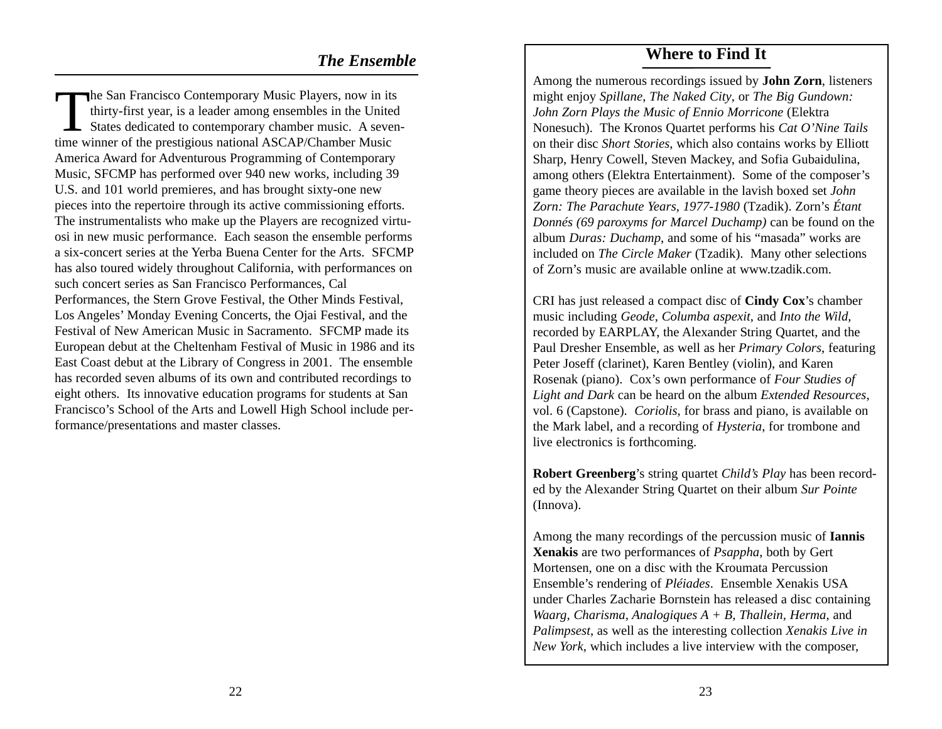The San Francisco Contemporary Music Players, now in its thirty-first year, is a leader among ensembles in the United States dedicated to contemporary chamber music. A seventime winner of the prestigious national ASCAP/Chamber Music America Award for Adventurous Programming of Contemporary Music, SFCMP has performed over 940 new works, including 39 U.S. and 101 world premieres, and has brought sixty-one new pieces into the repertoire through its active commissioning efforts. The instrumentalists who make up the Players are recognized virtuosi in new music performance. Each season the ensemble performs a six-concert series at the Yerba Buena Center for the Arts. SFCMP has also toured widely throughout California, with performances on such concert series as San Francisco Performances, Cal Performances, the Stern Grove Festival, the Other Minds Festival, Los Angeles' Monday Evening Concerts, the Ojai Festival, and the Festival of New American Music in Sacramento. SFCMP made its European debut at the Cheltenham Festival of Music in 1986 and its East Coast debut at the Library of Congress in 2001. The ensemble has recorded seven albums of its own and contributed recordings to eight others. Its innovative education programs for students at San Francisco's School of the Arts and Lowell High School include performance/presentations and master classes.

# **The Ensemble Where to Find It**

Among the numerous recordings issued by **John Zorn**, listeners might enjoy *Spillane*, *The Naked City*, or *The Big Gundown: John Zorn Plays the Music of Ennio Morricone* (Elektra Nonesuch). The Kronos Quartet performs his *Cat O'Nine Tails* on their disc *Short Stories*, which also contains works by Elliott Sharp, Henry Cowell, Steven Mackey, and Sofia Gubaidulina, among others (Elektra Entertainment). Some of the composer's game theory pieces are available in the lavish boxed set *John Zorn: The Parachute Years, 1977-1980* (Tzadik). Zorn's *Étant Donnés (69 paroxyms for Marcel Duchamp)* can be found on the album *Duras: Duchamp*, and some of his "masada" works are included on *The Circle Maker* (Tzadik). Many other selections of Zorn's music are available online at www.tzadik.com.

CRI has just released a compact disc of **Cindy Cox**'s chamber music including *Geode*, *Columba aspexit*, and *Into the Wild*, recorded by EARPLAY, the Alexander String Quartet, and the Paul Dresher Ensemble, as well as her *Primary Colors*, featuring Peter Joseff (clarinet), Karen Bentley (violin), and Karen Rosenak (piano). Cox's own performance of *Four Studies of Light and Dark* can be heard on the album *Extended Resources*, vol. 6 (Capstone). *Coriolis*, for brass and piano, is available on the Mark label, and a recording of *Hysteria*, for trombone and live electronics is forthcoming.

**Robert Greenberg**'s string quartet *Child's Play* has been recorded by the Alexander String Quartet on their album *Sur Pointe* (Innova).

Among the many recordings of the percussion music of **Iannis Xenakis** are two performances of *Psappha*, both by Gert Mortensen, one on a disc with the Kroumata Percussion Ensemble's rendering of *Pléiades*. Ensemble Xenakis USA under Charles Zacharie Bornstein has released a disc containing *Waarg, Charisma, Analogiques A + B, Thallein, Herma*, and *Palimpsest*, as well as the interesting collection *Xenakis Live in New York*, which includes a live interview with the composer,